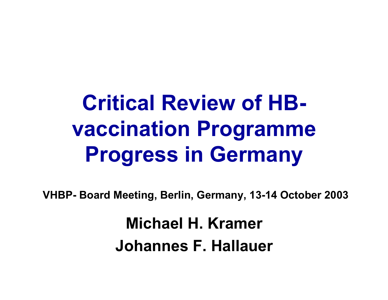## **Critical Review of HBvaccination Programme Progress in Germany**

**VHBP- Board Meeting, Berlin, Germany, 13-14 October 2003**

**Michael H. KramerJohannes F. Hallauer**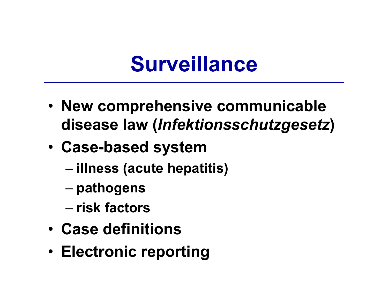#### **Surveillance**

- **New comprehensive communicable disease law (***Infektionsschutzgesetz***)**
- • **Case-based system**
	- –**illness (acute hepatitis)**
	- –**pathogens**
	- **risk factors**
- **Case definitions**
- **Electronic reporting**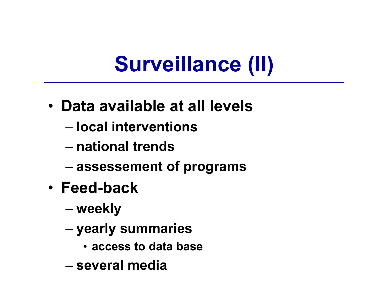### **Surveillance (II)**

- **Data available at all levels**
	- **local interventions**
	- **national trends**
	- –**assessement of programs**
- **Feed-back**
	- –**weekly**
	- – **yearly summaries**
		- **access to data base**
	- **several media**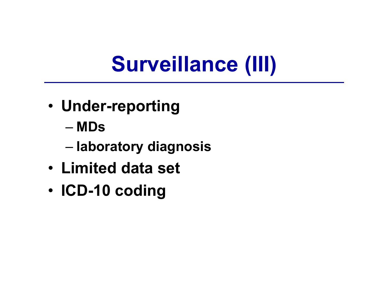### **Surveillance (III)**

- **Under-reporting**
	- **MDs**
	- –**laboratory diagnosis**
- **Limited data set**
- •**ICD-10 coding**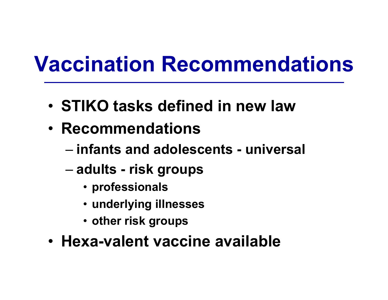#### **Vaccination Recommendations**

- **STIKO tasks defined in new law**
- **Recommendations** 
	- **infants and adolescents - universal**
	- – **adults - risk groups**
		- **professionals**
		- **underlying illnesses**
		- **other risk groups**
- **Hexa-valent vaccine available**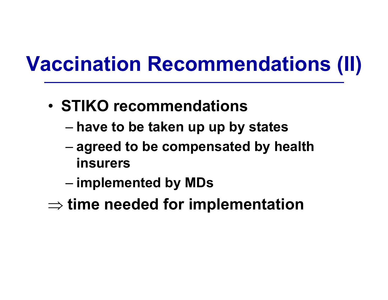#### **Vaccination Recommendations (II)**

- **STIKO recommendations** 
	- –**have to be taken up up by states**
	- – **agreed to be compensated by health insurers**
	- –**implemented by MDs**
- ⇒ **time needed for implementation**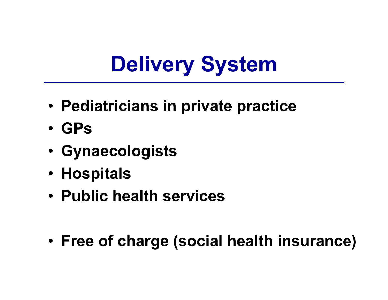### **Delivery System**

- **Pediatricians in private practice**
- **GPs**
- •**Gynaecologists**
- **Hospitals**
- **Public health services**
- •**Free of charge (social health insurance)**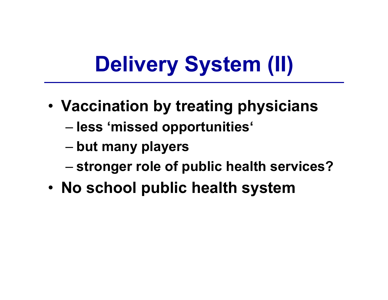# **Delivery System (II)**

- **Vaccination by treating physicians**
	- –**less 'missed opportunities'**
	- –**but many players**
	- –**stronger role of public health services?**
- **No school public health system**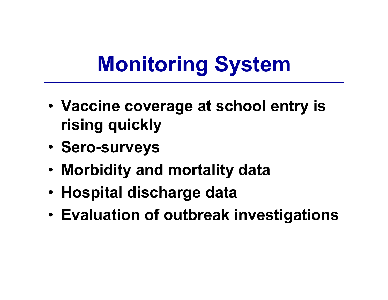## **Monitoring System**

- **Vaccine coverage at school entry is rising quickly**
- •**Sero-surveys**
- **Morbidity and mortality data**
- **Hospital discharge data**
- •**Evaluation of outbreak investigations**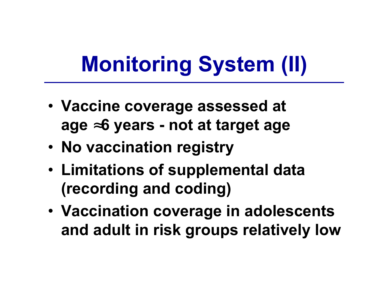# **Monitoring System (II)**

- **Vaccine coverage assessed at age**  <sup>≈</sup>**6 years - not at target age**
- **No vaccination registry**
- • **Limitations of supplemental data (recording and coding)**
- **Vaccination coverage in adolescents and adult in risk groups relatively low**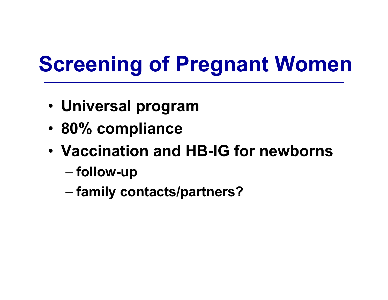## **Screening of Pregnant Women**

- **Universal program**
- •**80% compliance**
- **Vaccination and HB-IG for newborns**
	- –**follow-up**
	- –**family contacts/partners?**